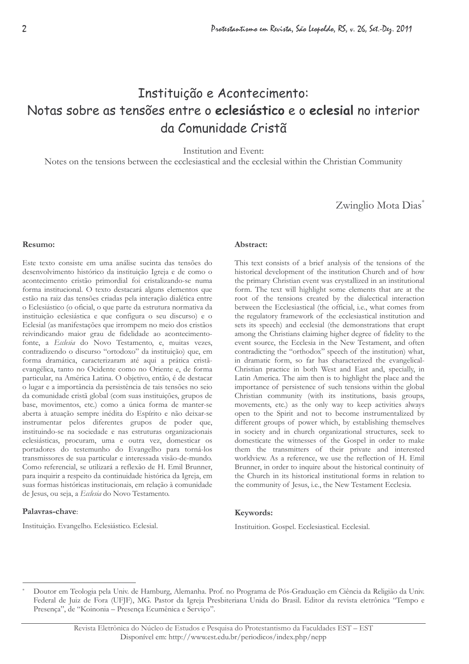# Instituição e Acontecimento: Notas sobre as tensões entre o eclesiástico e o eclesial no interior da Comunidade Cristã

Institution and Event:

Notes on the tensions between the ecclesiastical and the ecclesial within the Christian Community

Zwinglio Mota Dias\*

#### Resumo:

Este texto consiste em uma análise sucinta das tensões do desenvolvimento histórico da instituição Igreja e de como o acontecimento cristão primordial foi cristalizando-se numa forma institucional. O texto destacará alguns elementos que estão na raiz das tensões criadas pela interação dialética entre o Eclesiástico (o oficial, o que parte da estrutura normativa da instituição eclesiástica e que configura o seu discurso) e o Eclesial (as manifestações que irrompem no meio dos cristãos reivindicando maior grau de fidelidade ao acontecimentofonte, a Ecclesia do Novo Testamento, e, muitas vezes, contradizendo o discurso "ortodoxo" da instituição) que, em forma dramática, caracterizaram até aqui a prática cristãevangélica, tanto no Ocidente como no Oriente e, de forma particular, na América Latina. O objetivo, então, é de destacar o lugar e a importância da persistência de tais tensões no seio da comunidade cristã global (com suas instituições, grupos de base, movimentos, etc.) como a única forma de manter-se aberta à atuação sempre inédita do Espírito e não deixar-se instrumentar pelos diferentes grupos de poder que, instituindo-se na sociedade e nas estruturas organizacionais eclesiásticas, procuram, uma e outra vez, domesticar os portadores do testemunho do Evangelho para torná-los transmissores de sua particular e interessada visão-de-mundo. Como referencial, se utilizará a reflexão de H. Emil Brunner, para inquirir a respeito da continuidade histórica da Igreja, em suas formas históricas institucionais, em relação à comunidade de Jesus, ou seja, a Ecclesia do Novo Testamento.

#### Palayras-chave:

Instituição. Evangelho. Eclesiástico. Eclesial.

### Abstract:

This text consists of a brief analysis of the tensions of the historical development of the institution Church and of how the primary Christian event was crystallized in an institutional form. The text will highlight some elements that are at the root of the tensions created by the dialectical interaction between the Ecclesiastical (the official, i.e., what comes from the regulatory framework of the ecclesiastical institution and sets its speech) and ecclesial (the demonstrations that erupt among the Christians claiming higher degree of fidelity to the event source, the Ecclesia in the New Testament, and often contradicting the "orthodox" speech of the institution) what, in dramatic form, so far has characterized the evangelical-Christian practice in both West and East and, specially, in Latin America. The aim then is to highlight the place and the importance of persistence of such tensions within the global Christian community (with its institutions, basis groups, movements, etc.) as the only way to keep activities always open to the Spirit and not to become instrumentalized by different groups of power which, by establishing themselves in society and in church organizational structures, seek to domesticate the witnesses of the Gospel in order to make them the transmitters of their private and interested worldview. As a reference, we use the reflection of H. Emil Brunner, in order to inquire about the historical continuity of the Church in its historical institutional forms in relation to the community of Jesus, i.e., the New Testament Ecclesia.

### Keywords:

Instituition. Gospel. Ecclesiastical. Ecclesial.

Doutor em Teologia pela Univ. de Hamburg, Alemanha. Prof. no Programa de Pós-Graduação em Ciência da Religião da Univ. Federal de Juiz de Fora (UFJF), MG. Pastor da Igreja Presbiteriana Unida do Brasil. Editor da revista eletrônica "Tempo e Presença", de "Koinonia - Presença Ecumênica e Serviço".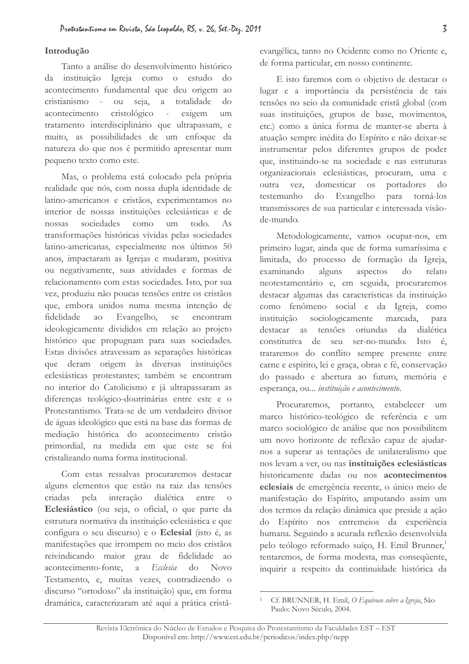### Introducão

Tanto a análise do desenvolvimento histórico da instituição Igreja como o estudo do acontecimento fundamental que deu origem ao seja, a totalidade cristianismo  $\sim 10^{-1}$ ou  $d<sub>O</sub>$ acontecimento cristológico exigem  $\mathbf{r}$  $um$ tratamento interdisciplinário que ultrapassam, e muito, as possibilidades de um enfoque da natureza do que nos é permitido apresentar num pequeno texto como este.

Mas, o problema está colocado pela própria realidade que nós, com nossa dupla identidade de latino-americanos e cristãos, experimentamos no interior de nossas instituições eclesiásticas e de sociedades como nossas um todo.  $As$ transformações históricas vividas pelas sociedades latino-americanas, especialmente nos últimos 50 anos, impactaram as Igrejas e mudaram, positiva ou negativamente, suas atividades e formas de relacionamento com estas sociedades. Isto, por sua vez, produziu não poucas tensões entre os cristãos que, embora unidos numa mesma intenção de Evangelho, fidelidade  $a<sub>O</sub>$ se encontram ideologicamente divididos em relação ao projeto histórico que propugnam para suas sociedades. Estas divisões atravessam as separações históricas que deram origem às diversas instituições eclesiásticas protestantes; também se encontram no interior do Catolicismo e já ultrapassaram as diferenças teológico-doutrinárias entre este e o Protestantismo. Trata-se de um verdadeiro divisor de águas ideológico que está na base das formas de mediação histórica do acontecimento cristão primordial, na medida em que este se foi cristalizando numa forma institucional.

Com estas ressalvas procuraremos destacar alguns elementos que estão na raiz das tensões interação criadas pela dialética entre Eclesiástico (ou seja, o oficial, o que parte da estrutura normativa da instituição eclesiástica e que configura o seu discurso) e o Eclesial (isto é, as manifestações que irrompem no meio dos cristãos reivindicando maior grau de fidelidade ao acontecimento-fonte.  $\overline{a}$ Ecclesia  $d<sub>O</sub>$ **Novo** Testamento, e, muitas vezes, contradizendo o discurso "ortodoxo" da instituição) que, em forma dramática, caracterizaram até aqui a prática cristãevangélica, tanto no Ocidente como no Oriente e, de forma particular, em nosso continente.

E isto faremos com o objetivo de destacar o lugar e a importância da persistência de tais tensões no seio da comunidade cristã global (com suas instituições, grupos de base, movimentos, etc.) como a única forma de manter-se aberta à atuação sempre inédita do Espírito e não deixar-se instrumentar pelos diferentes grupos de poder que, instituindo-se na sociedade e nas estruturas organizacionais eclesiásticas, procuram, uma e outra vez, domesticar os portadores do Evangelho testemunho do para torná-los transmissores de sua particular e interessada visãode-mundo.

Metodologicamente, vamos ocupar-nos, em primeiro lugar, ainda que de forma sumaríssima e limitada, do processo de formação da Igreja, examinando alguns aspectos do relato neotestamentário e, em seguida, procuraremos destacar algumas das características da instituição como fenômeno social e da Igreja, como sociologicamente marcada, instituição para destacar as tensões oriundas da dialética constitutiva de seu ser-no-mundo. Isto é. trataremos do conflito sempre presente entre carne e espírito, lei e graça, obras e fé, conservação do passado e abertura ao futuro, memória e esperança, ou ... instituição e acontecimento.

Procuraremos, portanto, estabelecer  $\mathbf{u}$ marco histórico-teológico de referência e um marco sociológico de análise que nos possibilitem um novo horizonte de reflexão capaz de ajudarnos a superar as tentações de unilateralismo que nos levam a ver, ou nas instituições eclesiásticas historicamente dadas ou nos acontecimentos eclesiais de emergência recente, o único meio de manifestação do Espírito, amputando assim um dos termos da relação dinâmica que preside a ação do Espírito nos entremeios da experiência humana. Seguindo a acurada reflexão desenvolvida pelo teólogo reformado suíço, H. Emil Brunner,<sup>1</sup> tentaremos, de forma modesta, mas consequente, inquirir a respeito da continuidade histórica da

Cf. BRUNNER, H. Emil, O Equívoco sobre a Igreja, São Paulo: Novo Século, 2004.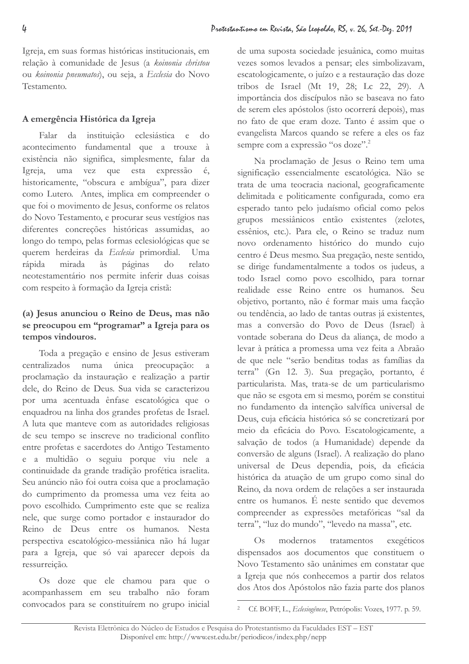Igreja, em suas formas históricas institucionais, em relação à comunidade de Jesus (a koinonia christou ou koinonia pneumatos), ou seja, a Ecclesia do Novo Testamento.

# A emergência Histórica da Igreja

da instituição eclesiástica e do Falar acontecimento fundamental que a trouxe à existência não significa, simplesmente, falar da uma vez que esta expressão  $\acute{e}$ Igreia. historicamente, "obscura e ambígua", para dizer como Lutero. Antes, implica em compreender o que foi o movimento de Jesus, conforme os relatos do Novo Testamento, e procurar seus vestígios nas diferentes concreções históricas assumidas, ao longo do tempo, pelas formas eclesiológicas que se querem herdeiras da Ecclesia primordial.  $U$ ma mirada  $\lambda$ s rápida páginas  $d<sub>O</sub>$ relato neotestamentário nos permite inferir duas coisas com respeito à formação da Igreja cristã:

# (a) Jesus anunciou o Reino de Deus, mas não se preocupou em "programar" a Igreja para os tempos vindouros.

Toda a pregação e ensino de Jesus estiveram centralizados numa única preocupação: proclamação da instauração e realização a partir dele, do Reino de Deus. Sua vida se caracterizou por uma acentuada ênfase escatológica que o enquadrou na linha dos grandes profetas de Israel. A luta que manteve com as autoridades religiosas de seu tempo se inscreve no tradicional conflito entre profetas e sacerdotes do Antigo Testamento e a multidão o seguiu porque viu nele a continuidade da grande tradição profética israelita. Seu anúncio não foi outra coisa que a proclamação do cumprimento da promessa uma vez feita ao povo escolhido. Cumprimento este que se realiza nele, que surge como portador e instaurador do Reino de Deus entre os humanos. Nesta perspectiva escatológico-messiânica não há lugar para a Igreja, que só vai aparecer depois da ressurreição.

Os doze que ele chamou para que o acompanhassem em seu trabalho não foram convocados para se constituírem no grupo inicial de uma suposta sociedade jesuânica, como muitas vezes somos levados a pensar; eles simbolizavam, escatologicamente, o juízo e a restauração das doze tribos de Israel (Mt 19, 28; Lc 22, 29). A importância dos discípulos não se baseava no fato de serem eles apóstolos (isto ocorrerá depois), mas no fato de que eram doze. Tanto é assim que o evangelista Marcos quando se refere a eles os faz sempre com a expressão "os doze".<sup>2</sup>

Na proclamação de Jesus o Reino tem uma significação essencialmente escatológica. Não se trata de uma teocracia nacional, geograficamente delimitada e politicamente configurada, como era esperado tanto pelo judaísmo oficial como pelos grupos messiânicos então existentes (zelotes, essênios, etc.). Para ele, o Reino se traduz num novo ordenamento histórico do mundo cujo centro é Deus mesmo. Sua pregação, neste sentido, se dirige fundamentalmente a todos os judeus, a todo Israel como povo escolhido, para tornar realidade esse Reino entre os humanos. Seu objetivo, portanto, não é formar mais uma facção ou tendência, ao lado de tantas outras já existentes, mas a conversão do Povo de Deus (Israel) à vontade soberana do Deus da alianca, de modo a levar à prática a promessa uma vez feita a Abraão de que nele "serão benditas todas as famílias da terra" (Gn 12. 3). Sua pregação, portanto, é particularista. Mas, trata-se de um particularismo que não se esgota em si mesmo, porém se constitui no fundamento da intenção salvífica universal de Deus, cuja eficácia histórica só se concretizará por meio da eficácia do Povo. Escatologicamente, a salvação de todos (a Humanidade) depende da conversão de alguns (Israel). A realização do plano universal de Deus dependia, pois, da eficácia histórica da atuação de um grupo como sinal do Reino, da nova ordem de relações a ser instaurada entre os humanos. É neste sentido que devemos compreender as expressões metafóricas "sal da terra", "luz do mundo", "levedo na massa", etc.

modernos  $O<sub>s</sub>$ tratamentos exegéticos dispensados aos documentos que constituem o Novo Testamento são unânimes em constatar que a Igreja que nós conhecemos a partir dos relatos dos Atos dos Apóstolos não fazia parte dos planos

 $\overline{2}$ Cf. BOFF, L., Eclesiogênese, Petrópolis: Vozes, 1977. p. 59.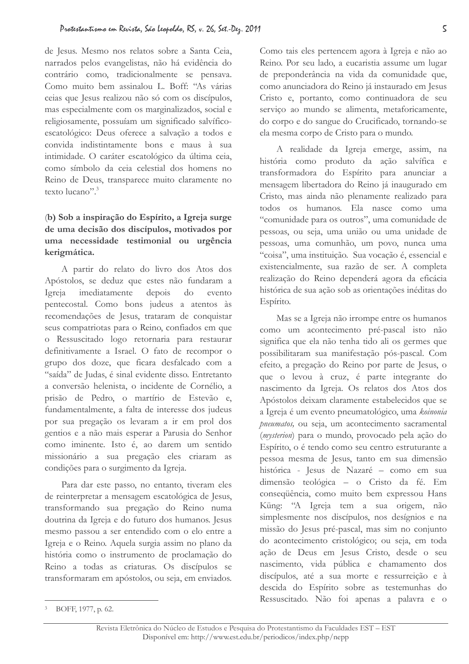de Jesus. Mesmo nos relatos sobre a Santa Ceia, narrados pelos evangelistas, não há evidência do contrário como, tradicionalmente se pensava. Como muito bem assinalou L. Boff: "As várias ceias que Jesus realizou não só com os discípulos, mas especialmente com os marginalizados, social e religiosamente, possuíam um significado salvíficoescatológico: Deus oferece a salvação a todos e convida indistintamente bons e maus à sua intimidade. O caráter escatológico da última ceia, como símbolo da ceia celestial dos homens no Reino de Deus, transparece muito claramente no texto lucano".<sup>3</sup>

## (b) Sob a inspiração do Espírito, a Igreja surge de uma decisão dos discípulos, motivados por uma necessidade testimonial ou urgência kerigmática.

A partir do relato do livro dos Atos dos Apóstolos, se deduz que estes não fundaram a do Igreja imediatamente depois evento pentecostal. Como bons judeus a atentos às recomendações de Jesus, trataram de conquistar seus compatriotas para o Reino, confiados em que o Ressuscitado logo retornaria para restaurar definitivamente a Israel. O fato de recompor o grupo dos doze, que ficara desfalcado com a "saída" de Judas, é sinal evidente disso. Entretanto a conversão helenista, o incidente de Cornélio, a prisão de Pedro, o martírio de Estevão e, fundamentalmente, a falta de interesse dos judeus por sua pregação os levaram a ir em prol dos gentios e a não mais esperar a Parusia do Senhor como iminente. Isto é, ao darem um sentido missionário a sua pregação eles criaram as condições para o surgimento da Igreja.

Para dar este passo, no entanto, tiveram eles de reinterpretar a mensagem escatológica de Jesus, transformando sua pregação do Reino numa doutrina da Igreja e do futuro dos humanos. Jesus mesmo passou a ser entendido com o elo entre a Igreja e o Reino. Aquela surgia assim no plano da história como o instrumento de proclamação do Reino a todas as criaturas. Os discípulos se transformaram em apóstolos, ou seja, em enviados.

Como tais eles pertencem agora à Igreja e não ao Reino. Por seu lado, a eucaristia assume um lugar de preponderância na vida da comunidade que, como anunciadora do Reino já instaurado em Jesus Cristo e, portanto, como continuadora de seu serviço ao mundo se alimenta, metaforicamente, do corpo e do sangue do Crucificado, tornando-se ela mesma corpo de Cristo para o mundo.

A realidade da Igreja emerge, assim, na história como produto da ação salvífica e transformadora do Espírito para anunciar a mensagem libertadora do Reino já inaugurado em Cristo, mas ainda não plenamente realizado para todos os humanos. Ela nasce como uma "comunidade para os outros", uma comunidade de pessoas, ou seja, uma união ou uma unidade de pessoas, uma comunhão, um povo, nunca uma "coisa", uma instituição. Sua vocação é, essencial e existencialmente, sua razão de ser. A completa realização do Reino dependerá agora da eficácia histórica de sua ação sob as orientações inéditas do Espírito.

Mas se a Igreja não irrompe entre os humanos como um acontecimento pré-pascal isto não significa que ela não tenha tido ali os germes que possibilitaram sua manifestação pós-pascal. Com efeito, a pregação do Reino por parte de Jesus, o que o levou à cruz, é parte integrante do nascimento da Igreja. Os relatos dos Atos dos Apóstolos deixam claramente estabelecidos que se a Igreja é um evento pneumatológico, uma koinonia pneumatos, ou seja, um acontecimento sacramental (mysterion) para o mundo, provocado pela ação do Espírito, o é tendo como seu centro estruturante a pessoa mesma de Jesus, tanto em sua dimensão histórica - Jesus de Nazaré - como em sua dimensão teológica - o Cristo da fé. Em consequência, como muito bem expressou Hans Küng: "A Igreja tem a sua origem, não simplesmente nos discípulos, nos desígnios e na missão do Jesus pré-pascal, mas sim no conjunto do acontecimento cristológico; ou seja, em toda ação de Deus em Jesus Cristo, desde o seu nascimento, vida pública e chamamento dos discípulos, até a sua morte e ressurreição e à descida do Espírito sobre as testemunhas do Ressuscitado. Não foi apenas a palavra e o

<sup>&</sup>lt;sup>3</sup> BOFF, 1977, p. 62.

Revista Eletrônica do Núcleo de Estudos e Pesquisa do Protestantismo da Faculdades EST - EST Disponível em: http://www.est.edu.br/periodicos/index.php/nepp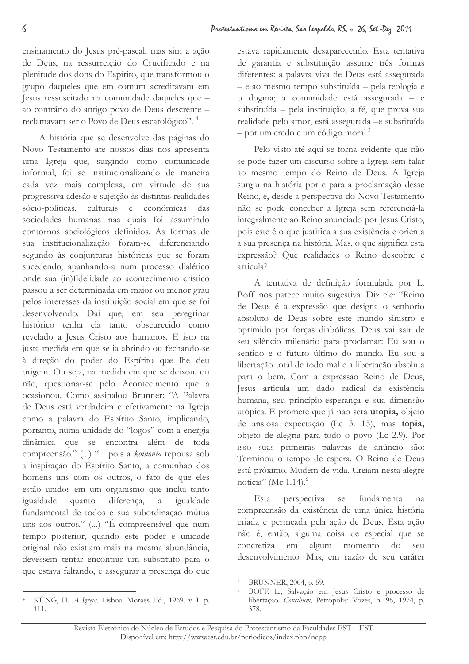ensinamento do Jesus pré-pascal, mas sim a ação de Deus, na ressurreição do Crucificado e na plenitude dos dons do Espírito, que transformou o grupo daqueles que em comum acreditavam em Jesus ressuscitado na comunidade daqueles que ao contrário do antigo povo de Deus descrente reclamavam ser o Povo de Deus escatológico".<sup>4</sup>

A história que se desenvolve das páginas do Novo Testamento até nossos dias nos apresenta uma Igreja que, surgindo como comunidade informal, foi se institucionalizando de maneira cada vez mais complexa, em virtude de sua progressiva adesão e sujeição às distintas realidades sócio-políticas, culturais e econômicas das sociedades humanas nas quais foi assumindo contornos sociológicos definidos. As formas de sua institucionalização foram-se diferenciando segundo às conjunturas históricas que se foram sucedendo, apanhando-a num processo dialético onde sua (in)fidelidade ao acontecimento crístico passou a ser determinada em maior ou menor grau pelos interesses da instituição social em que se foi desenvolvendo. Daí que, em seu peregrinar histórico tenha ela tanto obscurecido como revelado a Jesus Cristo aos humanos. E isto na justa medida em que se ia abrindo ou fechando-se à direção do poder do Espírito que lhe deu origem. Ou seja, na medida em que se deixou, ou não, questionar-se pelo Acontecimento que a ocasionou. Como assinalou Brunner: "A Palavra de Deus está verdadeira e efetivamente na Igreja como a palavra do Espírito Santo, implicando, portanto, numa unidade do "logos" com a energia dinâmica que se encontra além de toda compreensão." ( ... ) "... pois a koinonia repousa sob a inspiração do Espírito Santo, a comunhão dos homens uns com os outros, o fato de que eles estão unidos em um organismo que inclui tanto igualdade quanto diferença, a igualdade fundamental de todos e sua subordinação mútua uns aos outros." (...) "É compreensível que num tempo posterior, quando este poder e unidade original não existiam mais na mesma abundância, devessem tentar encontrar um substituto para o que estava faltando, e assegurar a presença do que

KÜNG, H. A Igreja. Lisboa: Moraes Ed., 1969. v. I. p.  $111.$ 

estava rapidamente desaparecendo. Esta tentativa de garantia e substituição assume três formas diferentes: a palavra viva de Deus está assegurada - e ao mesmo tempo substituída - pela teologia e o dogma; a comunidade está assegurada - e substituída - pela instituição; a fé, que prova sua realidade pelo amor, está assegurada - e substituída  $-$  por um credo e um código moral.<sup>5</sup>

Pelo visto até aqui se torna evidente que não se pode fazer um discurso sobre a Igreja sem falar ao mesmo tempo do Reino de Deus. A Igreja surgiu na história por e para a proclamação desse Reino, e, desde a perspectiva do Novo Testamento não se pode conceber a Igreja sem referenciá-la integralmente ao Reino anunciado por Jesus Cristo, pois este é o que justifica a sua existência e orienta a sua presença na história. Mas, o que significa esta expressão? Que realidades o Reino descobre e articula?

A tentativa de definição formulada por L. Boff nos parece muito sugestiva. Diz ele: "Reino de Deus é a expressão que designa o senhorio absoluto de Deus sobre este mundo sinistro e oprimido por forças diabólicas. Deus vai sair de seu silêncio milenário para proclamar: Eu sou o sentido e o futuro último do mundo. Eu sou a libertação total de todo mal e a libertação absoluta para o bem. Com a expressão Reino de Deus, Jesus articula um dado radical da existência humana, seu princípio-esperança e sua dimensão utópica. E promete que já não será utopia, objeto de ansiosa expectação (Lc 3. 15), mas topia, objeto de alegria para todo o povo (Lc 2.9). Por isso suas primeiras palavras de anúncio são: Terminou o tempo de espera. O Reino de Deus está próximo. Mudem de vida. Creiam nesta alegre notícia" (Mc 1.14).<sup>6</sup>

fundamenta Esta perspectiva se na compreensão da existência de uma única história criada e permeada pela ação de Deus. Esta ação não é, então, alguma coisa de especial que se concretiza em algum momento  $d<sub>O</sub>$ seu desenvolvimento. Mas, em razão de seu caráter

BRUNNER, 2004, p. 59.

BOFF, L., Salvação em Jesus Cristo e processo de libertação. Concilium, Petrópolis: Vozes, n. 96, 1974, p. 378.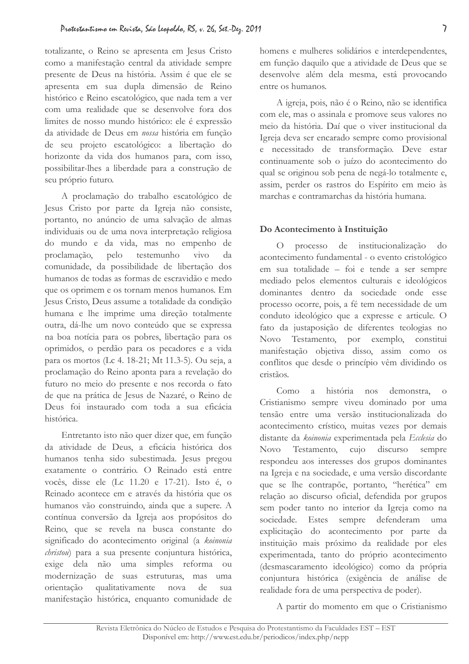totalizante, o Reino se apresenta em Jesus Cristo como a manifestação central da atividade sempre presente de Deus na história. Assim é que ele se apresenta em sua dupla dimensão de Reino histórico e Reino escatológico, que nada tem a ver com uma realidade que se desenvolve fora dos limites de nosso mundo histórico: ele é expressão da atividade de Deus em nossa história em função de seu projeto escatológico: a libertação do horizonte da vida dos humanos para, com isso, possibilitar-lhes a liberdade para a construção de seu próprio futuro.

A proclamação do trabalho escatológico de Jesus Cristo por parte da Igreja não consiste, portanto, no anúncio de uma salvação de almas individuais ou de uma nova interpretação religiosa do mundo e da vida, mas no empenho de proclamação, pelo testemunho  $\dot{\rm vivo}$ da comunidade, da possibilidade de libertação dos humanos de todas as formas de escravidão e medo que os oprimem e os tornam menos humanos. Em Jesus Cristo, Deus assume a totalidade da condição humana e lhe imprime uma direção totalmente outra, dá-lhe um novo conteúdo que se expressa na boa notícia para os pobres, libertação para os oprimidos, o perdão para os pecadores e a vida para os mortos (Lc 4. 18-21; Mt 11.3-5). Ou seja, a proclamação do Reino aponta para a revelação do futuro no meio do presente e nos recorda o fato de que na prática de Jesus de Nazaré, o Reino de Deus foi instaurado com toda a sua eficácia histórica.

Entretanto isto não quer dizer que, em função da atividade de Deus, a eficácia histórica dos humanos tenha sido subestimada. Jesus pregou exatamente o contrário. O Reinado está entre vocês, disse ele (Lc 11.20 e 17-21). Isto é, o Reinado acontece em e através da história que os humanos vão construindo, ainda que a supere. A contínua conversão da Igreja aos propósitos do Reino, que se revela na busca constante do significado do acontecimento original (a koinonia christou) para a sua presente conjuntura histórica, exige dela não uma simples reforma ou modernização de suas estruturas, mas  $\n <sup>11</sup> m<sub>2</sub>\n$ orientação qualitativamente nova de  $S112$ manifestação histórica, enquanto comunidade de homens e mulheres solidários e interdependentes, em função daquilo que a atividade de Deus que se desenvolve além dela mesma, está provocando entre os humanos.

A igreja, pois, não é o Reino, não se identifica com ele, mas o assinala e promove seus valores no meio da história. Daí que o viver institucional da Igreja deva ser encarado sempre como provisional e necessitado de transformação. Deve estar continuamente sob o juízo do acontecimento do qual se originou sob pena de negá-lo totalmente e, assim, perder os rastros do Espírito em meio às marchas e contramarchas da história humana.

### Do Acontecimento à Instituição

processo de institucionalização  $d<sub>O</sub>$  $\overline{O}$ acontecimento fundamental - o evento cristológico em sua totalidade - foi e tende a ser sempre mediado pelos elementos culturais e ideológicos dominantes dentro da sociedade onde esse processo ocorre, pois, a fé tem necessidade de um conduto ideológico que a expresse e articule. O fato da justaposição de diferentes teologias no N<sub>ovo</sub> Testamento, por exemplo, constitui manifestação objetiva disso, assim como os conflitos que desde o princípio vêm dividindo os cristãos.

 $Como$ a história nos demonstra,  $\overline{O}$ Cristianismo sempre viveu dominado por uma tensão entre uma versão institucionalizada do acontecimento crístico, muitas vezes por demais distante da koinonia experimentada pela Ecclesia do N<sub>ovo</sub> Testamento, cujo discurso sempre respondeu aos interesses dos grupos dominantes na Igreja e na sociedade, e uma versão discordante que se lhe contrapõe, portanto, "herética" em relação ao discurso oficial, defendida por grupos sem poder tanto no interior da Igreja como na sociedade. Estes sempre defenderam uma explicitação do acontecimento por parte da instituição mais próximo da realidade por eles experimentada, tanto do próprio acontecimento (desmascaramento ideológico) como da própria conjuntura histórica (exigência de análise de realidade fora de uma perspectiva de poder).

A partir do momento em que o Cristianismo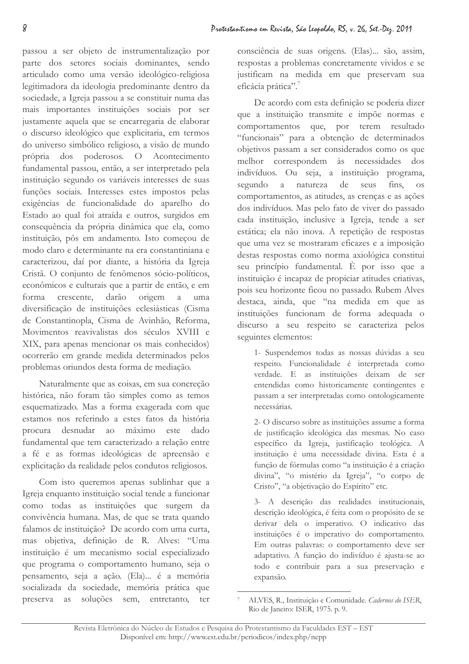passou a ser objeto de instrumentalização por parte dos setores sociais dominantes, sendo articulado como uma versão ideológico-religiosa legitimadora da ideologia predominante dentro da sociedade, a Igreja passou a se constituir numa das mais importantes instituições sociais por ser justamente aquela que se encarregaria de elaborar o discurso ideológico que explicitaria, em termos do universo simbólico religioso, a visão de mundo própria dos poderosos. O Acontecimento fundamental passou, então, a ser interpretado pela instituição segundo os variáveis interesses de suas funções sociais. Interesses estes impostos pelas exigências de funcionalidade do aparelho do Estado ao qual foi atraída e outros, surgidos em consequência da própria dinâmica que ela, como instituição, pôs em andamento. Isto começou de modo claro e determinante na era constantiniana e caracterizou, daí por diante, a história da Igreja Cristã. O conjunto de fenômenos sócio-políticos, econômicos e culturais que a partir de então, e em crescente, darão origem forma  $\overline{a}$ uma diversificação de instituições eclesiásticas (Cisma de Constantinopla, Cisma de Avinhão, Reforma, Movimentos reavivalistas dos séculos XVIII e XIX, para apenas mencionar os mais conhecidos) ocorrerão em grande medida determinados pelos problemas oriundos desta forma de mediação.

Naturalmente que as coisas, em sua concreção histórica, não foram tão simples como as temos esquematizado. Mas a forma exagerada com que estamos nos referindo a estes fatos da história desnudar ao máximo este dado procura fundamental que tem caracterizado a relação entre a fé e as formas ideológicas de apreensão e explicitação da realidade pelos condutos religiosos.

Com isto queremos apenas sublinhar que a Igreja enquanto instituição social tende a funcionar como todas as instituições que surgem da convivência humana. Mas, de que se trata quando falamos de instituição? De acordo com uma curta, mas objetiva, definição de R. Alves: "Uma instituição é um mecanismo social especializado que programa o comportamento humano, seja o pensamento, seja a ação. (Ela)... é a memória socializada da sociedade, memória prática que preserva as soluções sem, entretanto, ter

consciência de suas origens. (Elas)... são, assim, respostas a problemas concretamente vividos e se justificam na medida em que preservam sua eficácia prática".<sup>7</sup>

De acordo com esta definição se poderia dizer que a instituição transmite e impõe normas e comportamentos que, por terem resultado "funcionais" para a obtenção de determinados objetivos passam a ser considerados como os que melhor correspondem às necessidades  $d$ os indivíduos. Ou seja, a instituição programa, segundo a natureza de seus fins. **OS** comportamentos, as atitudes, as crenças e as ações dos indivíduos. Mas pelo fato de viver do passado cada instituição, inclusive a Igreja, tende a ser estática; ela não inova. A repetição de respostas que uma vez se mostraram eficazes e a imposição destas respostas como norma axiológica constitui seu princípio fundamental. È por isso que a instituição é incapaz de propiciar atitudes criativas, pois seu horizonte ficou no passado. Rubem Alves destaca, ainda, que "na medida em que as instituições funcionam de forma adequada o discurso a seu respeito se caracteriza pelos seguintes elementos:

1- Suspendemos todas as nossas dúvidas a seu respeito. Funcionalidade é interpretada como verdade. E as instituições deixam de ser entendidas como historicamente contingentes e passam a ser interpretadas como ontologicamente necessárias.

2- O discurso sobre as instituições assume a forma de justificação ideológica das mesmas. No caso específico da Igreja, justificação teológica. A instituição é uma necessidade divina. Esta é a função de fórmulas como "a instituição é a criação divina", "o mistério da Igreja", "o corpo de Cristo", "a objetivação do Espírito" etc.

3- A descrição das realidades institucionais, descrição ideológica, é feita com o propósito de se derivar dela o imperativo. O indicativo das instituições é o imperativo do comportamento. Em outras palavras: o comportamento deve ser adaptativo. A função do indivíduo é ajusta-se ao todo e contribuir para a sua preservação e expansão.

ALVES, R., Instituição e Comunidade. Cadernos do ISER, Rio de Janeiro: ISER, 1975. p. 9.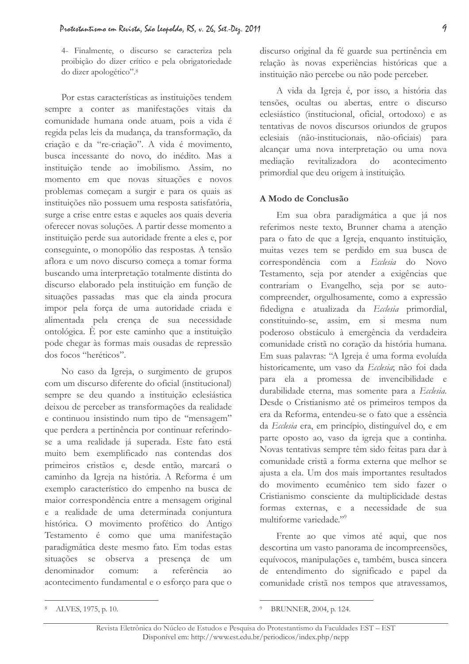4- Finalmente, o discurso se caracteriza pela proibição do dizer crítico e pela obrigatoriedade do dizer apologético".8

Por estas características as instituições tendem sempre a conter as manifestações vitais da comunidade humana onde atuam, pois a vida é regida pelas leis da mudança, da transformação, da criação e da "re-criação". A vida é movimento, busca incessante do novo, do inédito. Mas a instituição tende ao imobilismo. Assim, no momento em que novas situações e novos problemas começam a surgir e para os quais as instituições não possuem uma resposta satisfatória, surge a crise entre estas e aqueles aos quais deveria oferecer novas soluções. A partir desse momento a instituição perde sua autoridade frente a eles e, por conseguinte, o monopólio das respostas. A tensão aflora e um novo discurso começa a tomar forma buscando uma interpretação totalmente distinta do discurso elaborado pela instituição em função de situações passadas mas que ela ainda procura impor pela força de uma autoridade criada e alimentada pela crença de sua necessidade ontológica. È por este caminho que a instituição pode chegar às formas mais ousadas de repressão dos focos "heréticos".

No caso da Igreja, o surgimento de grupos com um discurso diferente do oficial (institucional) sempre se deu quando a instituição eclesiástica deixou de perceber as transformações da realidade e continuou insistindo num tipo de "mensagem" que perdera a pertinência por continuar referindose a uma realidade já superada. Este fato está muito bem exemplificado nas contendas dos primeiros cristãos e, desde então, marcará o caminho da Igreja na história. A Reforma é um exemplo característico do empenho na busca de maior correspondência entre a mensagem original e a realidade de uma determinada conjuntura histórica. O movimento profético do Antigo Testamento é como que uma manifestação paradigmática deste mesmo fato. Em todas estas situações se observa a presença de  $um$ denominador comum: referência  $\alpha$  $a<sub>O</sub>$ acontecimento fundamental e o esforço para que o

A vida da Igreja é, por isso, a história das tensões, ocultas ou abertas, entre o discurso eclesiástico (institucional, oficial, ortodoxo) e as tentativas de novos discursos oriundos de grupos eclesiais (não-institucionais, não-oficiais) para alcançar uma nova interpretação ou uma nova mediacão revitalizadora  $d<sub>O</sub>$ acontecimento primordial que deu origem à instituição.

### A Modo de Conclusão

Em sua obra paradigmática a que já nos referimos neste texto, Brunner chama a atenção para o fato de que a Igreja, enquanto instituição, muitas vezes tem se perdido em sua busca de correspondência com a Ecclesia do Novo Testamento, seja por atender a exigências que contrariam o Evangelho, seja por se autocompreender, orgulhosamente, como a expressão fidedigna e atualizada da Ecclesia primordial, constituindo-se, assim, em si mesma num poderoso obstáculo à emergência da verdadeira comunidade cristã no coração da história humana. Em suas palavras: "A Igreja é uma forma evoluída historicamente, um vaso da Ecclesia; não foi dada para ela a promessa de invencibilidade e durabilidade eterna, mas somente para a Ecclesia. Desde o Cristianismo até os primeiros tempos da era da Reforma, entendeu-se o fato que a essência da Ecclesia era, em princípio, distinguível do, e em parte oposto ao, vaso da igreja que a continha. Novas tentativas sempre têm sido feitas para dar à comunidade cristã a forma externa que melhor se ajusta a ela. Um dos mais importantes resultados do movimento ecumênico tem sido fazer o Cristianismo consciente da multiplicidade destas formas externas, e a necessidade de sua multiforme variedade."<sup>9</sup>

Frente ao que vimos até aqui, que nos descortina um vasto panorama de incompreensões, equívocos, manipulações e, também, busca sincera de entendimento do significado e papel da comunidade cristã nos tempos que atravessamos,

discurso original da fé guarde sua pertinência em relação às novas experiências históricas que a instituição não percebe ou não pode perceber.

ALVES, 1975, p. 10.

BRUNNER, 2004, p. 124.